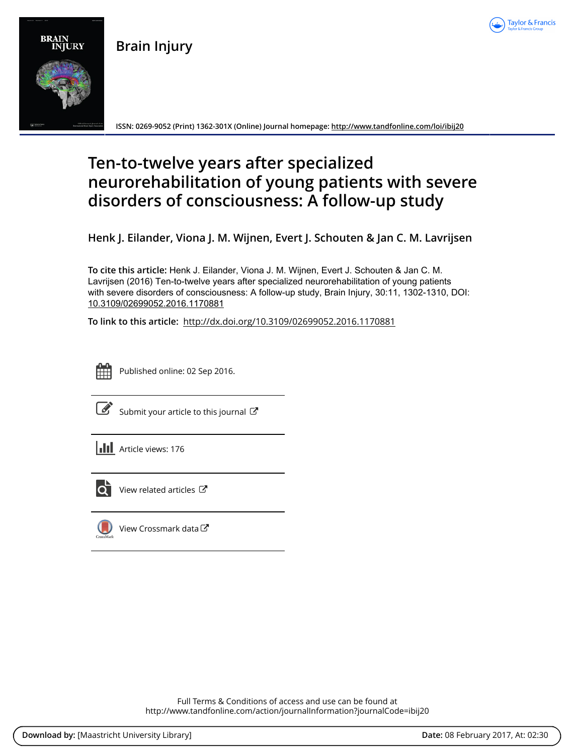

**Brain Injury**



**ISSN: 0269-9052 (Print) 1362-301X (Online) Journal homepage: <http://www.tandfonline.com/loi/ibij20>**

# **Ten-to-twelve years after specialized neurorehabilitation of young patients with severe disorders of consciousness: A follow-up study**

**Henk J. Eilander, Viona J. M. Wijnen, Evert J. Schouten & Jan C. M. Lavrijsen**

**To cite this article:** Henk J. Eilander, Viona J. M. Wijnen, Evert J. Schouten & Jan C. M. Lavrijsen (2016) Ten-to-twelve years after specialized neurorehabilitation of young patients with severe disorders of consciousness: A follow-up study, Brain Injury, 30:11, 1302-1310, DOI: [10.3109/02699052.2016.1170881](http://www.tandfonline.com/action/showCitFormats?doi=10.3109/02699052.2016.1170881)

**To link to this article:** <http://dx.doi.org/10.3109/02699052.2016.1170881>



Published online: 02 Sep 2016.

| I |
|---|

[Submit your article to this journal](http://www.tandfonline.com/action/authorSubmission?journalCode=ibij20&show=instructions)  $\mathbb{Z}$ 

**III** Article views: 176



[View related articles](http://www.tandfonline.com/doi/mlt/10.3109/02699052.2016.1170881) C



[View Crossmark data](http://crossmark.crossref.org/dialog/?doi=10.3109/02699052.2016.1170881&domain=pdf&date_stamp=2016-09-02)  $\mathbb{Z}$ 

Full Terms & Conditions of access and use can be found at <http://www.tandfonline.com/action/journalInformation?journalCode=ibij20>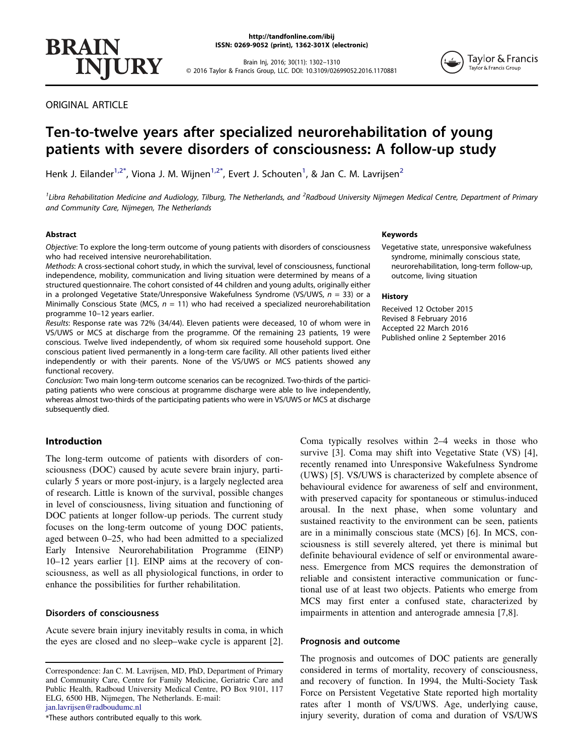Brain Inj, 2016; 30(11): 1302–1310 © 2016 Taylor & Francis Group, LLC. DOI: 10.3109/02699052.2016.1170881



ORIGINAL ARTICLE

**INJURY** 

**BRAIN** 

# Ten-to-twelve years after specialized neurorehabilitation of young patients with severe disorders of consciousness: A follow-up study

Henk J. Eilander $^{1,2^*}$  $^{1,2^*}$  $^{1,2^*}$  $^{1,2^*}$  $^{1,2^*}$ , Viona J. M. Wijnen $^{1,2^*}$  $^{1,2^*}$  $^{1,2^*}$  $^{1,2^*}$  $^{1,2^*}$ , Evert J. Schouten $^1$ , & Jan C. M. Lavrijsen $^2$ 

<span id="page-1-0"></span><sup>1</sup>Libra Rehabilitation Medicine and Audiology, Tilburg, The Netherlands, and <sup>2</sup>Radboud University Nijmegen Medical Centre, Department of Primary and Community Care, Nijmegen, The Netherlands

# Abstract

Objective: To explore the long-term outcome of young patients with disorders of consciousness who had received intensive neurorehabilitation.

Methods: A cross-sectional cohort study, in which the survival, level of consciousness, functional independence, mobility, communication and living situation were determined by means of a structured questionnaire. The cohort consisted of 44 children and young adults, originally either in a prolonged Vegetative State/Unresponsive Wakefulness Syndrome (VS/UWS,  $n = 33$ ) or a Minimally Conscious State (MCS,  $n = 11$ ) who had received a specialized neurorehabilitation programme 10–12 years earlier.

Results: Response rate was 72% (34/44). Eleven patients were deceased, 10 of whom were in VS/UWS or MCS at discharge from the programme. Of the remaining 23 patients, 19 were conscious. Twelve lived independently, of whom six required some household support. One conscious patient lived permanently in a long-term care facility. All other patients lived either independently or with their parents. None of the VS/UWS or MCS patients showed any functional recovery.

Conclusion: Two main long-term outcome scenarios can be recognized. Two-thirds of the participating patients who were conscious at programme discharge were able to live independently, whereas almost two-thirds of the participating patients who were in VS/UWS or MCS at discharge subsequently died.

# Introduction

The long-term outcome of patients with disorders of consciousness (DOC) caused by acute severe brain injury, particularly 5 years or more post-injury, is a largely neglected area of research. Little is known of the survival, possible changes in level of consciousness, living situation and functioning of DOC patients at longer follow-up periods. The current study focuses on the long-term outcome of young DOC patients, aged between 0–25, who had been admitted to a specialized Early Intensive Neurorehabilitation Programme (EINP) 10–12 years earlier [1]. EINP aims at the recovery of consciousness, as well as all physiological functions, in order to enhance the possibilities for further rehabilitation.

# Disorders of consciousness

Acute severe brain injury inevitably results in coma, in which the eyes are closed and no sleep–wake cycle is apparent [2].

<span id="page-1-1"></span>\*These authors contributed equally to this work.

# Keywords

Vegetative state, unresponsive wakefulness syndrome, minimally conscious state, neurorehabilitation, long-term follow-up, outcome, living situation

#### **History**

Received 12 October 2015 Revised 8 February 2016 Accepted 22 March 2016 Published online 2 September 2016

Coma typically resolves within 2–4 weeks in those who survive [3]. Coma may shift into Vegetative State (VS) [4], recently renamed into Unresponsive Wakefulness Syndrome (UWS) [5]. VS/UWS is characterized by complete absence of behavioural evidence for awareness of self and environment, with preserved capacity for spontaneous or stimulus-induced arousal. In the next phase, when some voluntary and sustained reactivity to the environment can be seen, patients are in a minimally conscious state (MCS) [6]. In MCS, consciousness is still severely altered, yet there is minimal but definite behavioural evidence of self or environmental awareness. Emergence from MCS requires the demonstration of reliable and consistent interactive communication or functional use of at least two objects. Patients who emerge from MCS may first enter a confused state, characterized by impairments in attention and anterograde amnesia [7,8].

#### Prognosis and outcome

The prognosis and outcomes of DOC patients are generally considered in terms of mortality, recovery of consciousness, and recovery of function. In 1994, the Multi-Society Task Force on Persistent Vegetative State reported high mortality rates after 1 month of VS/UWS. Age, underlying cause, injury severity, duration of coma and duration of VS/UWS

Correspondence: Jan C. M. Lavrijsen, MD, PhD, Department of Primary and Community Care, Centre for Family Medicine, Geriatric Care and Public Health, Radboud University Medical Centre, PO Box 9101, 117 ELG, 6500 HB, Nijmegen, The Netherlands. E-mail: jan.lavrijsen@radboudumc.nl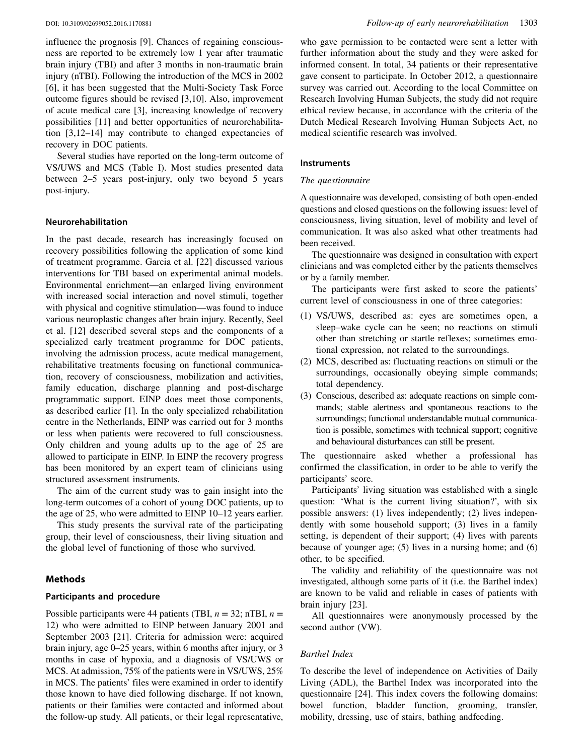influence the prognosis [9]. Chances of regaining consciousness are reported to be extremely low 1 year after traumatic brain injury (TBI) and after 3 months in non-traumatic brain injury (nTBI). Following the introduction of the MCS in 2002 [6], it has been suggested that the Multi-Society Task Force outcome figures should be revised [3,10]. Also, improvement of acute medical care [3], increasing knowledge of recovery possibilities [11] and better opportunities of neurorehabilitation [3,12–14] may contribute to changed expectancies of recovery in DOC patients.

Several studies have reported on the long-term outcome of VS/UWS and MCS (Table I). Most studies presented data between 2–5 years post-injury, only two beyond 5 years post-injury.

#### Neurorehabilitation

In the past decade, research has increasingly focused on recovery possibilities following the application of some kind of treatment programme. Garcia et al. [22] discussed various interventions for TBI based on experimental animal models. Environmental enrichment—an enlarged living environment with increased social interaction and novel stimuli, together with physical and cognitive stimulation—was found to induce various neuroplastic changes after brain injury. Recently, Seel et al. [12] described several steps and the components of a specialized early treatment programme for DOC patients, involving the admission process, acute medical management, rehabilitative treatments focusing on functional communication, recovery of consciousness, mobilization and activities, family education, discharge planning and post-discharge programmatic support. EINP does meet those components, as described earlier [1]. In the only specialized rehabilitation centre in the Netherlands, EINP was carried out for 3 months or less when patients were recovered to full consciousness. Only children and young adults up to the age of 25 are allowed to participate in EINP. In EINP the recovery progress has been monitored by an expert team of clinicians using structured assessment instruments.

The aim of the current study was to gain insight into the long-term outcomes of a cohort of young DOC patients, up to the age of 25, who were admitted to EINP 10–12 years earlier.

This study presents the survival rate of the participating group, their level of consciousness, their living situation and the global level of functioning of those who survived.

# Methods

# Participants and procedure

Possible participants were 44 patients (TBI,  $n = 32$ ; nTBI,  $n =$ 12) who were admitted to EINP between January 2001 and September 2003 [21]. Criteria for admission were: acquired brain injury, age 0–25 years, within 6 months after injury, or 3 months in case of hypoxia, and a diagnosis of VS/UWS or MCS. At admission, 75% of the patients were in VS/UWS, 25% in MCS. The patients' files were examined in order to identify those known to have died following discharge. If not known, patients or their families were contacted and informed about the follow-up study. All patients, or their legal representative, who gave permission to be contacted were sent a letter with further information about the study and they were asked for informed consent. In total, 34 patients or their representative gave consent to participate. In October 2012, a questionnaire survey was carried out. According to the local Committee on Research Involving Human Subjects, the study did not require ethical review because, in accordance with the criteria of the Dutch Medical Research Involving Human Subjects Act, no medical scientific research was involved.

# Instruments

#### The questionnaire

A questionnaire was developed, consisting of both open-ended questions and closed questions on the following issues: level of consciousness, living situation, level of mobility and level of communication. It was also asked what other treatments had been received.

The questionnaire was designed in consultation with expert clinicians and was completed either by the patients themselves or by a family member.

The participants were first asked to score the patients' current level of consciousness in one of three categories:

- (1) VS/UWS, described as: eyes are sometimes open, a sleep–wake cycle can be seen; no reactions on stimuli other than stretching or startle reflexes; sometimes emotional expression, not related to the surroundings.
- (2) MCS, described as: fluctuating reactions on stimuli or the surroundings, occasionally obeying simple commands; total dependency.
- (3) Conscious, described as: adequate reactions on simple commands; stable alertness and spontaneous reactions to the surroundings; functional understandable mutual communication is possible, sometimes with technical support; cognitive and behavioural disturbances can still be present.

The questionnaire asked whether a professional has confirmed the classification, in order to be able to verify the participants' score.

Participants' living situation was established with a single question: 'What is the current living situation?', with six possible answers: (1) lives independently; (2) lives independently with some household support; (3) lives in a family setting, is dependent of their support; (4) lives with parents because of younger age; (5) lives in a nursing home; and (6) other, to be specified.

The validity and reliability of the questionnaire was not investigated, although some parts of it (i.e. the Barthel index) are known to be valid and reliable in cases of patients with brain injury [23].

All questionnaires were anonymously processed by the second author (VW).

# Barthel Index

To describe the level of independence on Activities of Daily Living (ADL), the Barthel Index was incorporated into the questionnaire [24]. This index covers the following domains: bowel function, bladder function, grooming, transfer, mobility, dressing, use of stairs, bathing andfeeding.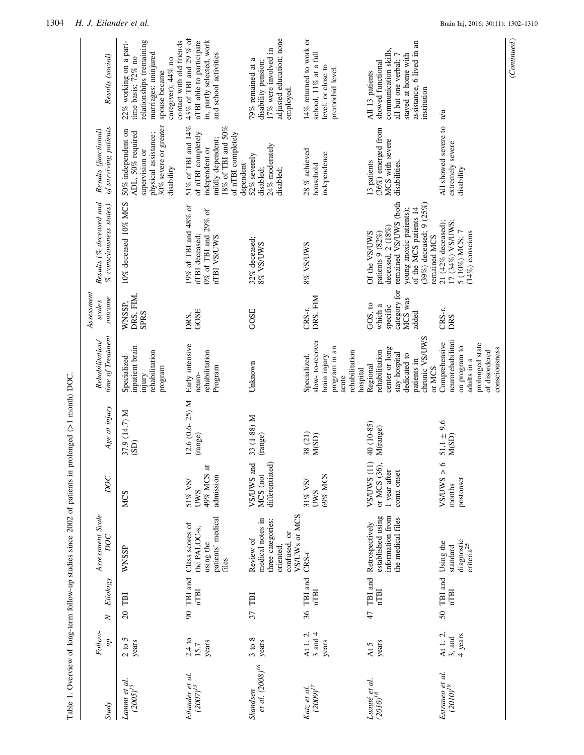|                                     |                                             |                                                                    | Table 1. Overview of long-term follow-up studies since 2002 of patients in prolonged $(>1 \text{ month})$ DOC. |                                                           |                             |                                                                                                                          |                                                                    |                                                                                                                                                                                       |                                                                                                                                          |                                                                                                                                                                     |
|-------------------------------------|---------------------------------------------|--------------------------------------------------------------------|----------------------------------------------------------------------------------------------------------------|-----------------------------------------------------------|-----------------------------|--------------------------------------------------------------------------------------------------------------------------|--------------------------------------------------------------------|---------------------------------------------------------------------------------------------------------------------------------------------------------------------------------------|------------------------------------------------------------------------------------------------------------------------------------------|---------------------------------------------------------------------------------------------------------------------------------------------------------------------|
| <b>Study</b>                        | Follow-<br>dn                               | Etiology<br>$\geq$                                                 | Assessment Scale<br>DOC                                                                                        | DOC                                                       | Age at injury               | time of Treatment<br><b>Rehabilitation</b>                                                                               | $A$ ssessment<br>outcome<br>scales                                 | Results (% deceased and<br>$%$ consciousness states)                                                                                                                                  | of surviving patients<br>Results (functional)                                                                                            | Results (social)                                                                                                                                                    |
| Lammi et al.<br>$(2005)^{15}$       | 2 to 5<br>years                             | TBI<br>$\overline{20}$                                             | WNSSP                                                                                                          | <b>MCS</b>                                                | 37.9 (14.7) M<br>(SD)       | inpatient brain<br>rehabilitation<br>Specialized<br>program<br>mjury                                                     | DRS, FIM,<br>WNSSP,<br><b>SPRS</b>                                 | 10% deceased 10% MCS                                                                                                                                                                  | $30\%$ severe or greater<br>50% independent on<br>ADL, 50% required<br>physical assistance;<br>supervision or<br>disability              | relationships (remaining<br>contact with old friends<br>22% working on a part-<br>marriages: uninjured<br>time basis; 72% no<br>caregiver); 44% no<br>spouse became |
| Eilander et al.<br>$(2007)^{13}$    | 2.4 to<br>years<br>15.7                     | $\ensuremath{\mathsf{T}\mathrm{B}}\xspace$ and<br>nTBI<br>$\infty$ | patients' medical<br>Class scores of<br>the PALOC-s,<br>using the<br>files                                     | 49% MCS at<br>admission<br>51% VS/<br>UWS                 | $12.6(0.6-25)$ M<br>(range) | Early intensive<br>rehabilitation<br>Program<br>neuro-                                                                   | GOSE<br>DRS,                                                       | 19% of TBI and 48% of<br>0% of TBI and 29% of<br>nTBI deceased:<br>nTBI VS/UWS                                                                                                        | 51% of TBI and 14%<br>18% of TBI and 50%<br>of nTBI completely<br>of nTBI completely<br>mildly dependent;<br>independent or<br>dependent | 43% of TBI and 29 % of<br>nTBI able to participate<br>in, partly selected, work<br>and school activities                                                            |
| et al. $(2008)^{16}$<br>Skandsen    | $3$ to $8$<br>years                         | TBI<br>37                                                          | VS/UWs or MCS<br>medical notes in<br>three categories:<br>confused, or<br>Review of<br>oriented,               | differentiated)<br>VS/UWS and<br>MCS (not                 | 33 (1-88) M<br>(range)      | Unknown                                                                                                                  | GOSE                                                               | 32% deceased;<br>8% VS/UWS                                                                                                                                                            | 24% moderately<br>52% severely<br>disabled;<br>disabled;                                                                                 | adjusted education; none<br>17% were involved in<br>79% remained at a<br>disability pension;<br>employed.                                                           |
| Katz et al.<br>(2009) <sup>17</sup> | At 1, 2,<br>$3$ and $4$<br>years            | TBI and<br>nTBI<br>36                                              | CRS-r                                                                                                          | 69% MCS<br>31% VS/<br><b>LWS</b>                          | 38 (21)<br>M(SD)            | slow-to-recover<br>program in an<br>rehabilitation<br>brain injury<br>Specialized,<br>hospital<br>acute                  | DRS, FIM<br>CRS-r,                                                 | 8% VS/UWS                                                                                                                                                                             | 28 % achieved<br>independence<br>household                                                                                               | 14% returned to work or<br>school, 11% at a full<br>level, or close to<br>premorbid level.                                                                          |
| Luauté et al.<br>(2010) $^{18}$     | years<br>At 5                               | TBI and<br><b>nTBI</b><br>47                                       | established using<br>information from<br>the medical files<br>Retrospectively                                  | VS/UWS (11)<br>or MCS (36),<br>1 year after<br>coma onset | 40 (10-85)<br>M(range)      | chronic VS/UWS<br>center or long<br>rehabilitation<br>stay-hospital<br>dedicated to<br>patients in<br>Regional<br>or MCS | category for<br>MCS was<br>GOS, to<br>which a<br>specific<br>added | remained VS/UWS (both<br>$(39\%)$ deceased; 9 $(25\%)$<br>of the MCS patients 14<br>young anoxic patients);<br>deceased, 2 (18%)<br>patients 9 (82%)<br>Of the VS/UWS<br>remained MCS | $(36\%)$ emerged from<br>MCS with severe<br>13 patients<br>disabilities.                                                                 | assistance, 6 lived in an<br>communication skills,<br>stayed at home with<br>all but one verbal; 7<br>showed functional<br>All 13 patients<br>institution           |
| Estraneo et al.<br>$(2010)^{19}$    | At 1, 2,<br>4 years<br>$3, \, \mathrm{and}$ | 50 TBI and<br>nTBI                                                 | $\frac{\rm diagnostic}{\rm criteria}^{25}$<br>Using the<br>standard                                            | $\circ$<br>$<$ SMUNS><br>postonset<br>months              | $51,1 \pm 9.6$<br>$M(SD)$   | neurorehabilitati<br>Comprehensive<br>prolonged state<br>on program to<br>consciousness<br>of disordered<br>adults in a  | CRS-r,<br>DRS                                                      | 17 (34%) VS/UWS;<br>21 (42% deceased);<br>5 (10%) MCS; 7<br>$(14\%)$ conscious                                                                                                        | All showed severe to<br>extremely severe<br>disability                                                                                   | n/a                                                                                                                                                                 |

 $(Continued)$ (Continued)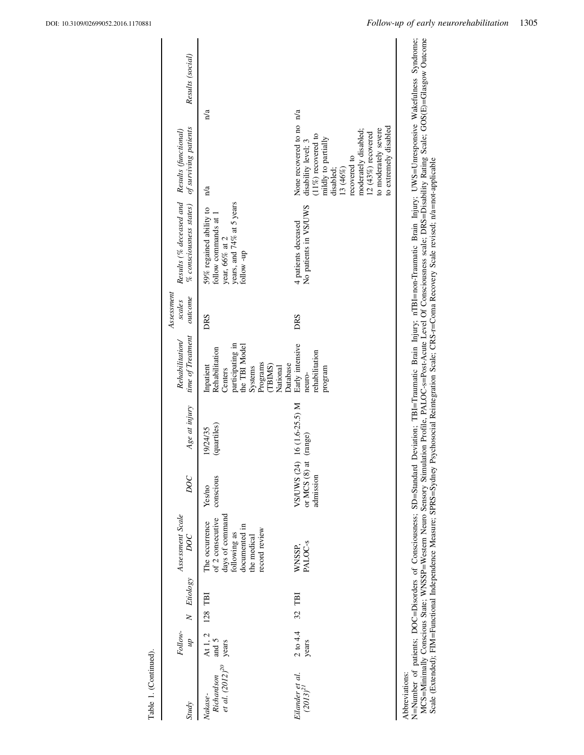| <b>Study</b>                                             | Follow-<br>$\overline{d}n$ | N Etiology | Assessment Scale<br>DOC                                                                                                | DOC                                        | Age at injury              | time of Treatment<br>Rehabilitation/                                                                                                  | Assessment<br>outcome<br>scales | % consciousness states) of surviving patients<br>Results (% deceased and Results (functional)                   |                                                                                                                                                                                                                                           | Results (social) |
|----------------------------------------------------------|----------------------------|------------|------------------------------------------------------------------------------------------------------------------------|--------------------------------------------|----------------------------|---------------------------------------------------------------------------------------------------------------------------------------|---------------------------------|-----------------------------------------------------------------------------------------------------------------|-------------------------------------------------------------------------------------------------------------------------------------------------------------------------------------------------------------------------------------------|------------------|
| $Richardson$ and 5 et al. $(2012)^{20}$ years<br>Nakase- | At 1, 2<br>and $5$         | 128 TBI    | of 2 consecutive<br>days of command<br>following as<br>The occurrence<br>documented in<br>record review<br>the medical | conscious<br>Yes/no                        | (quartiles)<br>19/24/35    | participating in<br>the TBI Model<br>Rehabilitation<br>Programs<br>Database<br>(TBIMS)<br>Inpatient<br>National<br>Systems<br>Centers | DRS                             | years, and $74\%$ at 5 years<br>follow -up<br>59% regained ability to<br>follow commands at 1<br>year, 66% at 2 | n/a<br>n/a                                                                                                                                                                                                                                |                  |
| Eilander et al.<br>$(2013)^{21}$                         | $2$ to $4.4$<br>years      | 32 TBI     | WNSSP,<br>PALOC-s                                                                                                      | VS/UWS (24)<br>or MCS $(8)$ a<br>admission | 16 (1.6-25.5) M<br>(range) | Early intensive<br>rehabilitation<br>mogram<br>neuro-                                                                                 | DRS                             | No patients in VS/UWS<br>4 patients deceased                                                                    | None recovered to no n/a<br>to extremely disabled<br>moderately disabled;<br>to moderately severe<br>12 $(43%)$ recovered<br>$(11\%)$ recovered to<br>mildly to partially<br>disability level; 3<br>recovered to<br>disabled;<br>13 (46%) |                  |
| Abbreviations:                                           |                            |            |                                                                                                                        |                                            |                            |                                                                                                                                       |                                 |                                                                                                                 |                                                                                                                                                                                                                                           |                  |

N=Number of patients; DOC=Disorders of Consciousness; SD=Standard Deviation; TBI=Traumatic Brain Injury; nTBI=non-Traumatic Brain Injury; UWS=Unresponsive Wakefulness Syndrome;<br>MCS=Minimally Conscious State; WNSSP=Western MCS=Minimally Conscious State; WNSSP=Western Neuro Sensory Stimulation Profile, PALOC-s=Post-Acute Level Of Consciousness scale; DRS=Disability Rating Scale; GOS(E)=Glasgow Outcome N=Number of patients; DOC=Disorders of Consciousness; SD=Standard Deviation; TBI=Traumatic Brain Injury; nTBI=non-Traumatic Brain Injury; UWS=Unresponsive Wakefulness Syndrome; Scale (Extended); FIM=Functional Independence Measure; SPRS=Sydney Psychosocial Reintegration Scale; CRS-r=Coma Recovery Scale revised; n/a=not-applicable

Table 1. (Continued).

Table 1. (Continued).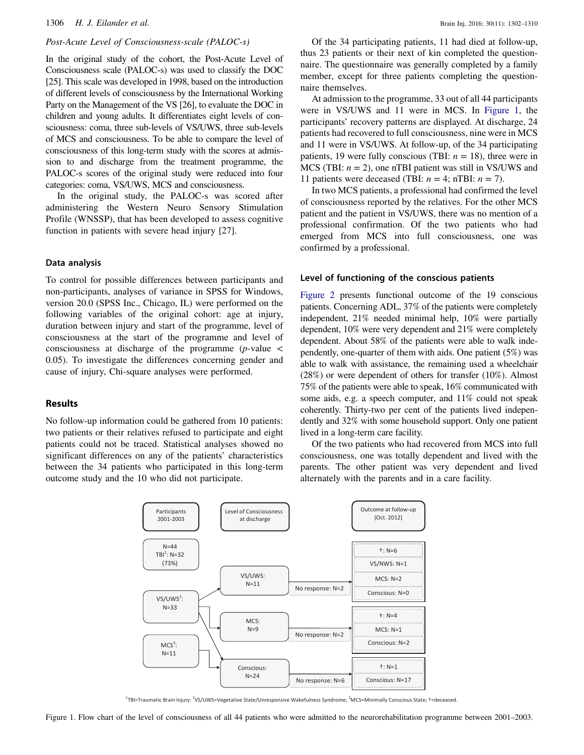#### Post-Acute Level of Consciousness-scale (PALOC-s)

In the original study of the cohort, the Post-Acute Level of Consciousness scale (PALOC-s) was used to classify the DOC [25]. This scale was developed in 1998, based on the introduction of different levels of consciousness by the International Working Party on the Management of the VS [26], to evaluate the DOC in children and young adults. It differentiates eight levels of consciousness: coma, three sub-levels of VS/UWS, three sub-levels of MCS and consciousness. To be able to compare the level of consciousness of this long-term study with the scores at admission to and discharge from the treatment programme, the PALOC-s scores of the original study were reduced into four categories: coma, VS/UWS, MCS and consciousness.

In the original study, the PALOC-s was scored after administering the Western Neuro Sensory Stimulation Profile (WNSSP), that has been developed to assess cognitive function in patients with severe head injury [27].

#### Data analysis

To control for possible differences between participants and non-participants, analyses of variance in SPSS for Windows, version 20.0 (SPSS Inc., Chicago, IL) were performed on the following variables of the original cohort: age at injury, duration between injury and start of the programme, level of consciousness at the start of the programme and level of consciousness at discharge of the programme ( $p$ -value  $\lt$ 0.05). To investigate the differences concerning gender and cause of injury, Chi-square analyses were performed.

# Results

No follow-up information could be gathered from 10 patients: two patients or their relatives refused to participate and eight patients could not be traced. Statistical analyses showed no significant differences on any of the patients' characteristics between the 34 patients who participated in this long-term outcome study and the 10 who did not participate.

Of the 34 participating patients, 11 had died at follow-up, thus 23 patients or their next of kin completed the questionnaire. The questionnaire was generally completed by a family member, except for three patients completing the questionnaire themselves.

At admission to the programme, 33 out of all 44 participants were in VS/UWS and 11 were in MCS. In [Figure 1](#page-5-0), the participants' recovery patterns are displayed. At discharge, 24 patients had recovered to full consciousness, nine were in MCS and 11 were in VS/UWS. At follow-up, of the 34 participating patients, 19 were fully conscious (TBI:  $n = 18$ ), three were in MCS (TBI:  $n = 2$ ), one nTBI patient was still in VS/UWS and 11 patients were deceased (TBI:  $n = 4$ ; nTBI:  $n = 7$ ).

In two MCS patients, a professional had confirmed the level of consciousness reported by the relatives. For the other MCS patient and the patient in VS/UWS, there was no mention of a professional confirmation. Of the two patients who had emerged from MCS into full consciousness, one was confirmed by a professional.

#### Level of functioning of the conscious patients

[Figure 2](#page-6-0) presents functional outcome of the 19 conscious patients. Concerning ADL, 37% of the patients were completely independent, 21% needed minimal help, 10% were partially dependent, 10% were very dependent and 21% were completely dependent. About 58% of the patients were able to walk independently, one-quarter of them with aids. One patient (5%) was able to walk with assistance, the remaining used a wheelchair (28%) or were dependent of others for transfer (10%). Almost 75% of the patients were able to speak, 16% communicated with some aids, e.g. a speech computer, and 11% could not speak coherently. Thirty-two per cent of the patients lived independently and 32% with some household support. Only one patient lived in a long-term care facility.

Of the two patients who had recovered from MCS into full consciousness, one was totally dependent and lived with the parents. The other patient was very dependent and lived alternately with the parents and in a care facility.



<sup>1</sup>TBI=Traumatic Brain Injury: <sup>2</sup>VS/UWS=Vegetative State/Unresponsive Wakefulness Syndrome; <sup>3</sup>MCS=Minimally Conscious State; †=deceased.

<span id="page-5-0"></span>Figure 1. Flow chart of the level of consciousness of all 44 patients who were admitted to the neurorehabilitation programme between 2001–2003.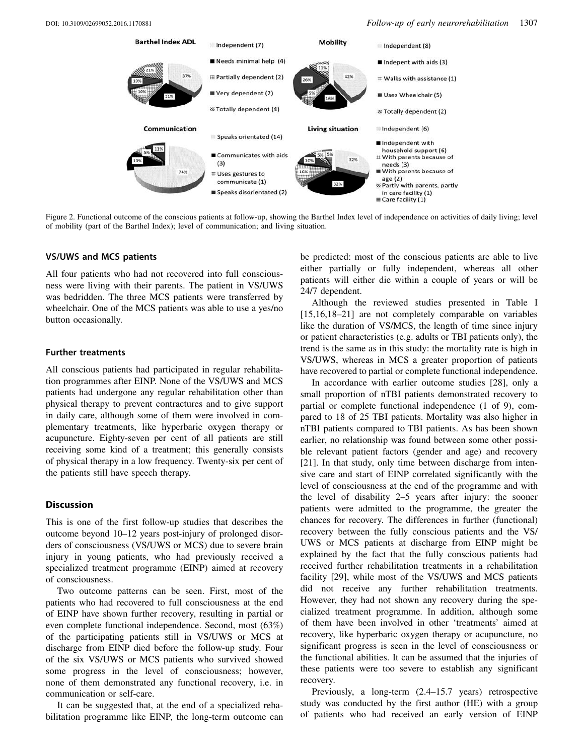

<span id="page-6-0"></span>Figure 2. Functional outcome of the conscious patients at follow-up, showing the Barthel Index level of independence on activities of daily living; level of mobility (part of the Barthel Index); level of communication; and living situation.

# VS/UWS and MCS patients

All four patients who had not recovered into full consciousness were living with their parents. The patient in VS/UWS was bedridden. The three MCS patients were transferred by wheelchair. One of the MCS patients was able to use a yes/no button occasionally.

#### Further treatments

All conscious patients had participated in regular rehabilitation programmes after EINP. None of the VS/UWS and MCS patients had undergone any regular rehabilitation other than physical therapy to prevent contractures and to give support in daily care, although some of them were involved in complementary treatments, like hyperbaric oxygen therapy or acupuncture. Eighty-seven per cent of all patients are still receiving some kind of a treatment; this generally consists of physical therapy in a low frequency. Twenty-six per cent of the patients still have speech therapy.

#### **Discussion**

This is one of the first follow-up studies that describes the outcome beyond 10–12 years post-injury of prolonged disorders of consciousness (VS/UWS or MCS) due to severe brain injury in young patients, who had previously received a specialized treatment programme (EINP) aimed at recovery of consciousness.

Two outcome patterns can be seen. First, most of the patients who had recovered to full consciousness at the end of EINP have shown further recovery, resulting in partial or even complete functional independence. Second, most (63%) of the participating patients still in VS/UWS or MCS at discharge from EINP died before the follow-up study. Four of the six VS/UWS or MCS patients who survived showed some progress in the level of consciousness; however, none of them demonstrated any functional recovery, i.e. in communication or self-care.

It can be suggested that, at the end of a specialized rehabilitation programme like EINP, the long-term outcome can be predicted: most of the conscious patients are able to live either partially or fully independent, whereas all other patients will either die within a couple of years or will be 24/7 dependent.

Although the reviewed studies presented in Table I [15,16,18–21] are not completely comparable on variables like the duration of VS/MCS, the length of time since injury or patient characteristics (e.g. adults or TBI patients only), the trend is the same as in this study: the mortality rate is high in VS/UWS, whereas in MCS a greater proportion of patients have recovered to partial or complete functional independence.

In accordance with earlier outcome studies [28], only a small proportion of nTBI patients demonstrated recovery to partial or complete functional independence (1 of 9), compared to 18 of 25 TBI patients. Mortality was also higher in nTBI patients compared to TBI patients. As has been shown earlier, no relationship was found between some other possible relevant patient factors (gender and age) and recovery [21]. In that study, only time between discharge from intensive care and start of EINP correlated significantly with the level of consciousness at the end of the programme and with the level of disability 2–5 years after injury: the sooner patients were admitted to the programme, the greater the chances for recovery. The differences in further (functional) recovery between the fully conscious patients and the VS/ UWS or MCS patients at discharge from EINP might be explained by the fact that the fully conscious patients had received further rehabilitation treatments in a rehabilitation facility [29], while most of the VS/UWS and MCS patients did not receive any further rehabilitation treatments. However, they had not shown any recovery during the specialized treatment programme. In addition, although some of them have been involved in other 'treatments' aimed at recovery, like hyperbaric oxygen therapy or acupuncture, no significant progress is seen in the level of consciousness or the functional abilities. It can be assumed that the injuries of these patients were too severe to establish any significant recovery.

Previously, a long-term (2.4–15.7 years) retrospective study was conducted by the first author (HE) with a group of patients who had received an early version of EINP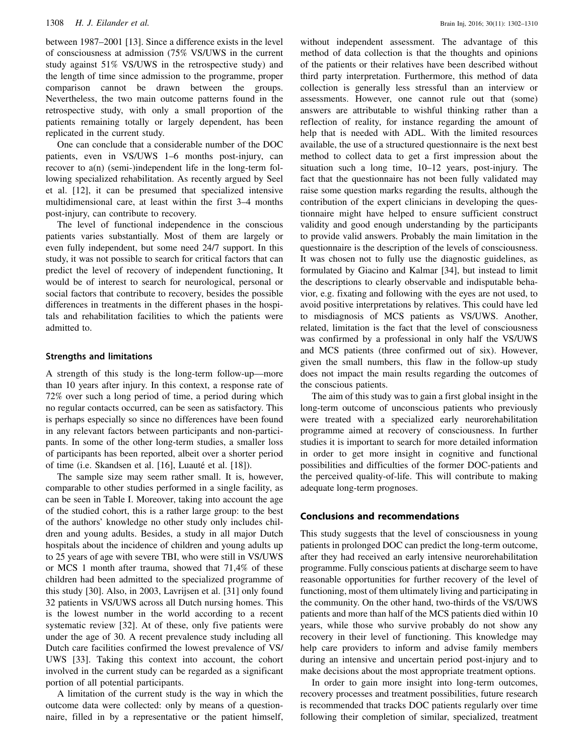between 1987–2001 [13]. Since a difference exists in the level of consciousness at admission (75% VS/UWS in the current study against 51% VS/UWS in the retrospective study) and the length of time since admission to the programme, proper comparison cannot be drawn between the groups. Nevertheless, the two main outcome patterns found in the retrospective study, with only a small proportion of the patients remaining totally or largely dependent, has been replicated in the current study.

One can conclude that a considerable number of the DOC patients, even in VS/UWS 1–6 months post-injury, can recover to a(n) (semi-)independent life in the long-term following specialized rehabilitation. As recently argued by Seel et al. [12], it can be presumed that specialized intensive multidimensional care, at least within the first 3–4 months post-injury, can contribute to recovery.

The level of functional independence in the conscious patients varies substantially. Most of them are largely or even fully independent, but some need 24/7 support. In this study, it was not possible to search for critical factors that can predict the level of recovery of independent functioning, It would be of interest to search for neurological, personal or social factors that contribute to recovery, besides the possible differences in treatments in the different phases in the hospitals and rehabilitation facilities to which the patients were admitted to.

#### Strengths and limitations

A strength of this study is the long-term follow-up—more than 10 years after injury. In this context, a response rate of 72% over such a long period of time, a period during which no regular contacts occurred, can be seen as satisfactory. This is perhaps especially so since no differences have been found in any relevant factors between participants and non-participants. In some of the other long-term studies, a smaller loss of participants has been reported, albeit over a shorter period of time (i.e. Skandsen et al. [16], Luauté et al. [18]).

The sample size may seem rather small. It is, however, comparable to other studies performed in a single facility, as can be seen in Table I. Moreover, taking into account the age of the studied cohort, this is a rather large group: to the best of the authors' knowledge no other study only includes children and young adults. Besides, a study in all major Dutch hospitals about the incidence of children and young adults up to 25 years of age with severe TBI, who were still in VS/UWS or MCS 1 month after trauma, showed that 71,4% of these children had been admitted to the specialized programme of this study [30]. Also, in 2003, Lavrijsen et al. [31] only found 32 patients in VS/UWS across all Dutch nursing homes. This is the lowest number in the world according to a recent systematic review [32]. At of these, only five patients were under the age of 30. A recent prevalence study including all Dutch care facilities confirmed the lowest prevalence of VS/ UWS [33]. Taking this context into account, the cohort involved in the current study can be regarded as a significant portion of all potential participants.

A limitation of the current study is the way in which the outcome data were collected: only by means of a questionnaire, filled in by a representative or the patient himself, without independent assessment. The advantage of this method of data collection is that the thoughts and opinions of the patients or their relatives have been described without third party interpretation. Furthermore, this method of data collection is generally less stressful than an interview or assessments. However, one cannot rule out that (some) answers are attributable to wishful thinking rather than a reflection of reality, for instance regarding the amount of help that is needed with ADL. With the limited resources available, the use of a structured questionnaire is the next best method to collect data to get a first impression about the situation such a long time, 10–12 years, post-injury. The fact that the questionnaire has not been fully validated may raise some question marks regarding the results, although the contribution of the expert clinicians in developing the questionnaire might have helped to ensure sufficient construct validity and good enough understanding by the participants to provide valid answers. Probably the main limitation in the questionnaire is the description of the levels of consciousness. It was chosen not to fully use the diagnostic guidelines, as formulated by Giacino and Kalmar [34], but instead to limit the descriptions to clearly observable and indisputable behavior, e.g. fixating and following with the eyes are not used, to avoid positive interpretations by relatives. This could have led to misdiagnosis of MCS patients as VS/UWS. Another, related, limitation is the fact that the level of consciousness was confirmed by a professional in only half the VS/UWS and MCS patients (three confirmed out of six). However, given the small numbers, this flaw in the follow-up study does not impact the main results regarding the outcomes of the conscious patients.

The aim of this study was to gain a first global insight in the long-term outcome of unconscious patients who previously were treated with a specialized early neurorehabilitation programme aimed at recovery of consciousness. In further studies it is important to search for more detailed information in order to get more insight in cognitive and functional possibilities and difficulties of the former DOC-patients and the perceived quality-of-life. This will contribute to making adequate long-term prognoses.

#### Conclusions and recommendations

This study suggests that the level of consciousness in young patients in prolonged DOC can predict the long-term outcome, after they had received an early intensive neurorehabilitation programme. Fully conscious patients at discharge seem to have reasonable opportunities for further recovery of the level of functioning, most of them ultimately living and participating in the community. On the other hand, two-thirds of the VS/UWS patients and more than half of the MCS patients died within 10 years, while those who survive probably do not show any recovery in their level of functioning. This knowledge may help care providers to inform and advise family members during an intensive and uncertain period post-injury and to make decisions about the most appropriate treatment options.

In order to gain more insight into long-term outcomes, recovery processes and treatment possibilities, future research is recommended that tracks DOC patients regularly over time following their completion of similar, specialized, treatment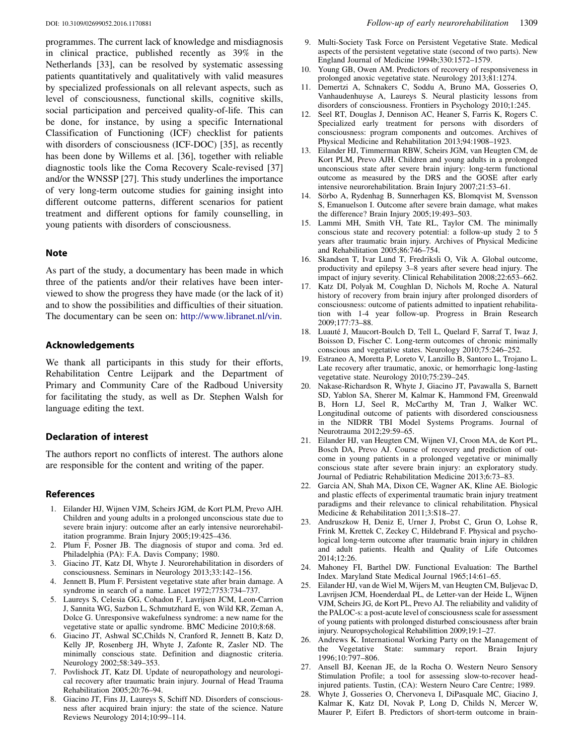programmes. The current lack of knowledge and misdiagnosis in clinical practice, published recently as 39% in the Netherlands [33], can be resolved by systematic assessing patients quantitatively and qualitatively with valid measures by specialized professionals on all relevant aspects, such as level of consciousness, functional skills, cognitive skills, social participation and perceived quality-of-life. This can be done, for instance, by using a specific International Classification of Functioning (ICF) checklist for patients with disorders of consciousness (ICF-DOC) [35], as recently has been done by Willems et al. [36], together with reliable diagnostic tools like the Coma Recovery Scale-revised [37] and/or the WNSSP [27]. This study underlines the importance of very long-term outcome studies for gaining insight into different outcome patterns, different scenarios for patient treatment and different options for family counselling, in young patients with disorders of consciousness.

#### Note

As part of the study, a documentary has been made in which three of the patients and/or their relatives have been interviewed to show the progress they have made (or the lack of it) and to show the possibilities and difficulties of their situation. The documentary can be seen on: <http://www.libranet.nl/vin>.

# Acknowledgements

We thank all participants in this study for their efforts, Rehabilitation Centre Leijpark and the Department of Primary and Community Care of the Radboud University for facilitating the study, as well as Dr. Stephen Walsh for language editing the text.

# Declaration of interest

The authors report no conflicts of interest. The authors alone are responsible for the content and writing of the paper.

#### References

- 1. Eilander HJ, Wijnen VJM, Scheirs JGM, de Kort PLM, Prevo AJH. Children and young adults in a prolonged unconscious state due to severe brain injury: outcome after an early intensive neurorehabilitation programme. Brain Injury 2005;19:425–436.
- 2. Plum F, Posner JB. The diagnosis of stupor and coma. 3rd ed. Philadelphia (PA): F.A. Davis Company; 1980.
- 3. Giacino JT, Katz DI, Whyte J. Neurorehabilitation in disorders of consciousness. Seminars in Neurology 2013;33:142–156.
- 4. Jennett B, Plum F. Persistent vegetative state after brain damage. A syndrome in search of a name. Lancet 1972;7753:734–737.
- 5. Laureys S, Celesia GG, Cohadon F, Lavrijsen JCM, Leon-Carrion J, Sannita WG, Sazbon L, Schmutzhard E, von Wild KR, Zeman A, Dolce G. Unresponsive wakefulness syndrome: a new name for the vegetative state or apallic syndrome. BMC Medicine 2010;8:68.
- 6. Giacino JT, Ashwal SC,Childs N, Cranford R, Jennett B, Katz D, Kelly JP, Rosenberg JH, Whyte J, Zafonte R, Zasler ND. The minimally conscious state. Definition and diagnostic criteria. Neurology 2002;58:349–353.
- 7. Povlishock JT, Katz DI. Update of neuropathology and neurological recovery after traumatic brain injury. Journal of Head Trauma Rehabilitation 2005;20:76–94.
- Giacino JT, Fins JJ, Laureys S, Schiff ND. Disorders of consciousness after acquired brain injury: the state of the science. Nature Reviews Neurology 2014;10:99–114.
- 9. Multi-Society Task Force on Persistent Vegetative State. Medical aspects of the persistent vegetative state (second of two parts). New England Journal of Medicine 1994b;330:1572–1579.
- 10. Young GB, Owen AM. Predictors of recovery of responsiveness in prolonged anoxic vegetative state. Neurology 2013;81:1274.
- 11. Demertzi A, Schnakers C, Soddu A, Bruno MA, Gosseries O, Vanhaudenhuyse A, Laureys S. Neural plasticity lessons from disorders of consciousness. Frontiers in Psychology 2010;1:245.
- 12. Seel RT, Douglas J, Dennison AC, Heaner S, Farris K, Rogers C. Specialized early treatment for persons with disorders of consciousness: program components and outcomes. Archives of Physical Medicine and Rehabilitation 2013;94:1908–1923.
- 13. Eilander HJ, Timmerman RBW, Scheirs JGM, van Heugten CM, de Kort PLM, Prevo AJH. Children and young adults in a prolonged unconscious state after severe brain injury: long-term functional outcome as measured by the DRS and the GOSE after early intensive neurorehabilitation. Brain Injury 2007;21:53–61.
- 14. Sörbo A, Rydenhag B, Sunnerhagen KS, Blomqvist M, Svensson S, Emanuelson I. Outcome after severe brain damage, what makes the difference? Brain Injury 2005;19:493–503.
- 15. Lammi MH, Smith VH, Tate RL, Taylor CM. The minimally conscious state and recovery potential: a follow-up study 2 to 5 years after traumatic brain injury. Archives of Physical Medicine and Rehabilitation 2005;86:746–754.
- 16. Skandsen T, Ivar Lund T, Fredriksli O, Vik A. Global outcome, productivity and epilepsy 3–8 years after severe head injury. The impact of injury severity. Clinical Rehabilitation 2008;22:653–662.
- 17. Katz DI, Polyak M, Coughlan D, Nichols M, Roche A. Natural history of recovery from brain injury after prolonged disorders of consciousness: outcome of patients admitted to inpatient rehabilitation with 1-4 year follow-up. Progress in Brain Research 2009;177:73–88.
- 18. Luauté J, Maucort-Boulch D, Tell L, Quelard F, Sarraf T, Iwaz J, Boisson D, Fischer C. Long-term outcomes of chronic minimally conscious and vegetative states. Neurology 2010;75:246–252.
- 19. Estraneo A, Moretta P, Loreto V, Lanzillo B, Santoro L, Trojano L. Late recovery after traumatic, anoxic, or hemorrhagic long-lasting vegetative state. Neurology 2010;75:239–245.
- 20. Nakase-Richardson R, Whyte J, Giacino JT, Pavawalla S, Barnett SD, Yablon SA, Sherer M, Kalmar K, Hammond FM, Greenwald B, Horn LJ, Seel R, McCarthy M, Tran J, Walker WC. Longitudinal outcome of patients with disordered consciousness in the NIDRR TBI Model Systems Programs. Journal of Neurotrauma 2012;29:59–65.
- 21. Eilander HJ, van Heugten CM, Wijnen VJ, Croon MA, de Kort PL, Bosch DA, Prevo AJ. Course of recovery and prediction of outcome in young patients in a prolonged vegetative or minimally conscious state after severe brain injury: an exploratory study. Journal of Pediatric Rehabilitation Medicine 2013;6:73–83.
- 22. Garcia AN, Shah MA, Dixon CE, Wagner AK, Kline AE. Biologic and plastic effects of experimental traumatic brain injury treatment paradigms and their relevance to clinical rehabilitation. Physical Medicine & Rehabilitation 2011;3:S18–27.
- 23. Andruszkow H, Deniz E, Urner J, Probst C, Grun O, Lohse R, Frink M, Krettek C, Zeckey C, Hildebrand F. Physical and psychological long-term outcome after traumatic brain injury in children and adult patients. Health and Quality of Life Outcomes 2014;12:26.
- 24. Mahoney FI, Barthel DW. Functional Evaluation: The Barthel Index. Maryland State Medical Journal 1965;14:61–65.
- 25. Eilander HJ, van de Wiel M, Wijers M, van Heugten CM, Buljevac D, Lavrijsen JCM, Hoenderdaal PL, de Letter-van der Heide L, Wijnen VJM, Scheirs JG, de Kort PL, Prevo AJ. The reliability and validity of the PALOC-s: a post-acute level of consciousness scale for assessment of young patients with prolonged disturbed consciousness after brain injury. Neuropsychological Rehabilittion 2009;19:1–27.
- 26. Andrews K. International Working Party on the Management of the Vegetative State: summary report. Brain Injury 1996;10:797–806.
- 27. Ansell BJ, Keenan JE, de la Rocha O. Western Neuro Sensory Stimulation Profile; a tool for assessing slow-to-recover headinjured patients. Tustin, (CA): Western Neuro Care Centre; 1989.
- 28. Whyte J, Gosseries O, Chervoneva I, DiPasquale MC, Giacino J, Kalmar K, Katz DI, Novak P, Long D, Childs N, Mercer W, Maurer P, Eifert B. Predictors of short-term outcome in brain-